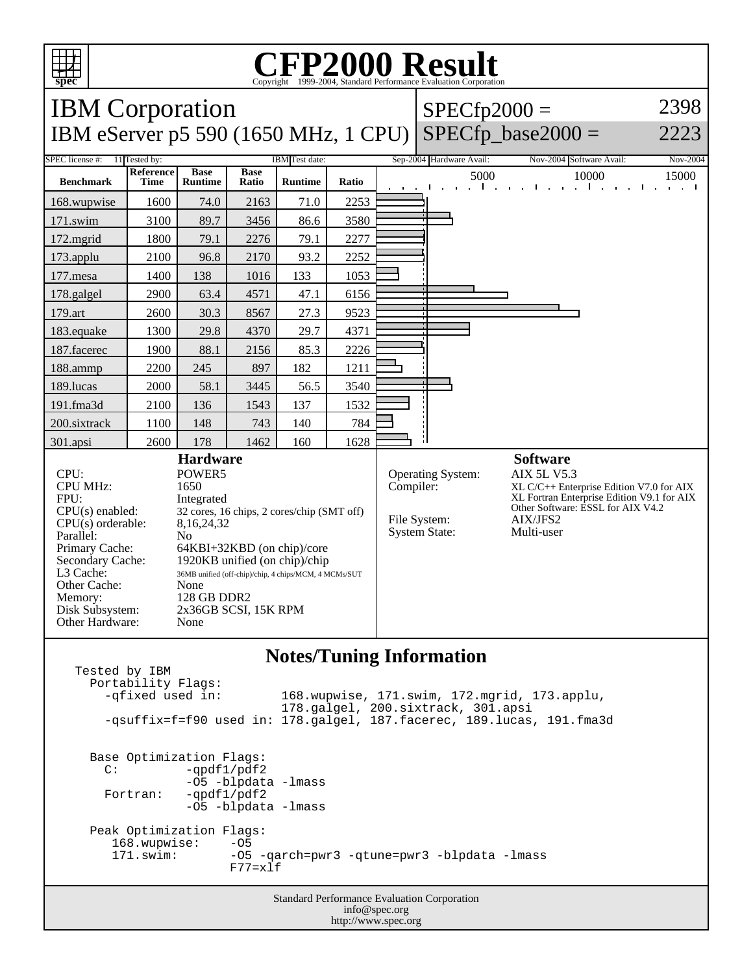

## C<sub>opyright</sub> ©1999-2004, Standard Performance Evaluation Corporation

| <b>IBM</b> Corporation                                                                                                                                                                                        |                          |                                                                  |                                                                                                                                                                                                                              |                |       |                          | $SPECfp2000 =$                                                         | 2398                                                                                                                                                                                             |                                                            |
|---------------------------------------------------------------------------------------------------------------------------------------------------------------------------------------------------------------|--------------------------|------------------------------------------------------------------|------------------------------------------------------------------------------------------------------------------------------------------------------------------------------------------------------------------------------|----------------|-------|--------------------------|------------------------------------------------------------------------|--------------------------------------------------------------------------------------------------------------------------------------------------------------------------------------------------|------------------------------------------------------------|
| IBM eServer p5 590 (1650 MHz, 1 CPU)                                                                                                                                                                          |                          |                                                                  |                                                                                                                                                                                                                              |                |       |                          |                                                                        | $SPECfp\_base2000 =$                                                                                                                                                                             | 2223                                                       |
| SPEC license #:<br>11 Tested by:<br>IBM Test date:                                                                                                                                                            |                          |                                                                  |                                                                                                                                                                                                                              |                |       | Sep-2004 Hardware Avail: | Nov-2004 Software Avail:                                               | Nov-2004                                                                                                                                                                                         |                                                            |
| <b>Benchmark</b>                                                                                                                                                                                              | <b>Reference</b><br>Time | <b>Base</b><br><b>Runtime</b>                                    | <b>Base</b><br>Ratio                                                                                                                                                                                                         | <b>Runtime</b> | Ratio |                          | 5000                                                                   | 10000<br>and the contract of the contract of<br>$\mathbf{1}$ and $\mathbf{1}$                                                                                                                    | 15000<br>$\mathbf{L}$<br><b>Contract Contract Contract</b> |
| 168.wupwise                                                                                                                                                                                                   | 1600                     | 74.0                                                             | 2163                                                                                                                                                                                                                         | 71.0           | 2253  |                          |                                                                        |                                                                                                                                                                                                  |                                                            |
| 171.swim                                                                                                                                                                                                      | 3100                     | 89.7                                                             | 3456                                                                                                                                                                                                                         | 86.6           | 3580  |                          |                                                                        |                                                                                                                                                                                                  |                                                            |
| 172.mgrid                                                                                                                                                                                                     | 1800                     | 79.1                                                             | 2276                                                                                                                                                                                                                         | 79.1           | 2277  |                          |                                                                        |                                                                                                                                                                                                  |                                                            |
| 173.applu                                                                                                                                                                                                     | 2100                     | 96.8                                                             | 2170                                                                                                                                                                                                                         | 93.2           | 2252  |                          |                                                                        |                                                                                                                                                                                                  |                                                            |
| 177.mesa                                                                                                                                                                                                      | 1400                     | 138                                                              | 1016                                                                                                                                                                                                                         | 133            | 1053  |                          |                                                                        |                                                                                                                                                                                                  |                                                            |
| 178.galgel                                                                                                                                                                                                    | 2900                     | 63.4                                                             | 4571                                                                                                                                                                                                                         | 47.1           | 6156  |                          |                                                                        |                                                                                                                                                                                                  |                                                            |
| 179.art                                                                                                                                                                                                       | 2600                     | 30.3                                                             | 8567                                                                                                                                                                                                                         | 27.3           | 9523  |                          |                                                                        |                                                                                                                                                                                                  |                                                            |
| 183.equake                                                                                                                                                                                                    | 1300                     | 29.8                                                             | 4370                                                                                                                                                                                                                         | 29.7           | 4371  |                          |                                                                        |                                                                                                                                                                                                  |                                                            |
| 187.facerec                                                                                                                                                                                                   | 1900                     | 88.1                                                             | 2156                                                                                                                                                                                                                         | 85.3           | 2226  |                          |                                                                        |                                                                                                                                                                                                  |                                                            |
| 188.ammp                                                                                                                                                                                                      | 2200                     | 245                                                              | 897                                                                                                                                                                                                                          | 182            | 1211  |                          |                                                                        |                                                                                                                                                                                                  |                                                            |
| 189.lucas                                                                                                                                                                                                     | 2000                     | 58.1                                                             | 3445                                                                                                                                                                                                                         | 56.5           | 3540  |                          |                                                                        |                                                                                                                                                                                                  |                                                            |
| 191.fma3d                                                                                                                                                                                                     | 2100                     | 136                                                              | 1543                                                                                                                                                                                                                         | 137            | 1532  |                          |                                                                        |                                                                                                                                                                                                  |                                                            |
| 200.sixtrack                                                                                                                                                                                                  | 1100                     | 148                                                              | 743                                                                                                                                                                                                                          | 140            | 784   |                          |                                                                        |                                                                                                                                                                                                  |                                                            |
| 301.apsi                                                                                                                                                                                                      | 2600                     | 178                                                              | 1462                                                                                                                                                                                                                         | 160            | 1628  |                          |                                                                        |                                                                                                                                                                                                  |                                                            |
| $CPI$ :<br><b>CPU MHz:</b><br>FPU:<br>$CPU(s)$ enabled:<br>CPU(s) orderable:<br>Parallel:<br>Primary Cache:<br>Secondary Cache:<br>L3 Cache:<br>Other Cache:<br>Memory:<br>Disk Subsystem:<br>Other Hardware: |                          | POWER5<br>1650<br>Integrated<br>8,16,24,32<br>No<br>None<br>None | <b>Hardware</b><br>32 cores, 16 chips, 2 cores/chip (SMT off)<br>64KBI+32KBD (on chip)/core<br>1920KB unified (on chip)/chip<br>36MB unified (off-chip)/chip, 4 chips/MCM, 4 MCMs/SUT<br>128 GB DDR2<br>2x36GB SCSI, 15K RPM |                |       |                          | Operating System:<br>Compiler:<br>File System:<br><b>System State:</b> | <b>Software</b><br><b>AIX 5L V5.3</b><br>$XL$ C/C++ Enterprise Edition V7.0 for AIX<br>XL Fortran Enterprise Edition V9.1 for AIX<br>Other Software: ESSL for AIX V4.2<br>AIX/JFS2<br>Multi-user |                                                            |
|                                                                                                                                                                                                               |                          |                                                                  |                                                                                                                                                                                                                              |                |       |                          |                                                                        |                                                                                                                                                                                                  |                                                            |

## **Notes/Tuning Information**

Standard Performance Evaluation Corporation Tested by IBM Portability Flags: -qfixed used in: 168.wupwise, 171.swim, 172.mgrid, 173.applu, 178.galgel, 200.sixtrack, 301.apsi -qsuffix=f=f90 used in: 178.galgel, 187.facerec, 189.lucas, 191.fma3d Base Optimization Flags:<br>C: -qpdf1/pdf2  $-qpdf1/pdf2$ -O5 -blpdata -lmass<br>Fortran: -qpdf1/pdf2  $-qpdf1/pdf2$  -O5 -blpdata -lmass Peak Optimization Flags:<br>168.wupwise: -05  $168.$ wupwise:<br> $171.$ swim: -05 -qarch=pwr3 -qtune=pwr3 -blpdata -lmass F77=xlf

info@spec.org http://www.spec.org